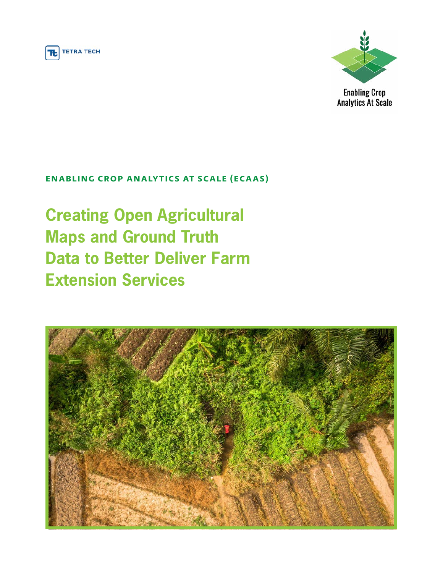



**Enabling Crop Analytics At Scale** 

## **ENABLING CROP ANALYTICS AT SCALE (ECAAS)**

**Creating Open Agricultural Maps and Ground Truth Data to Better Deliver Farm Extension Services**

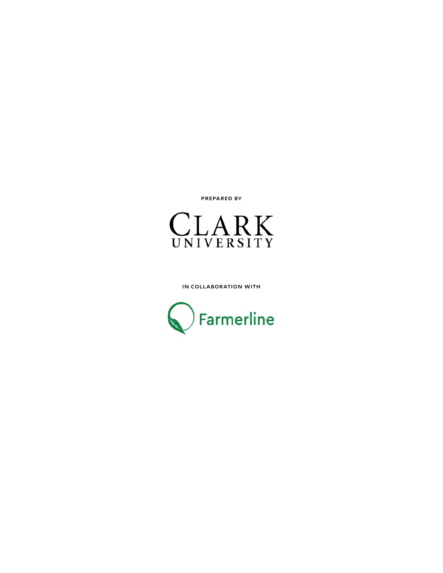Prepared by



in collaboration with

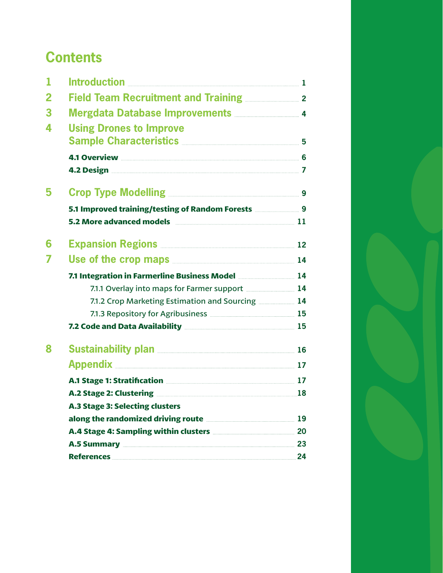# **Contents**

| 1                       |                                                                                                           |    |
|-------------------------|-----------------------------------------------------------------------------------------------------------|----|
| $\overline{\mathbf{2}}$ | Field Team Recruitment and Training <b>Manual</b> 2                                                       |    |
| 3                       | Mergdata Database Improvements <b>Mergdata</b> 4                                                          |    |
| 4                       | <b>Using Drones to Improve</b><br>Sample Characteristics <b>Manual According to the Characteristics</b> 5 |    |
|                         |                                                                                                           |    |
|                         |                                                                                                           |    |
| 5                       |                                                                                                           |    |
|                         | 5.1 Improved training/testing of Random Forests <b>Manual</b> 9                                           |    |
|                         | 5.2 More advanced models <b>Exercise 2008</b> 11                                                          |    |
| 6                       | <b>Expansion Regions 2008 2008 2008 2008 2008 212</b>                                                     |    |
| 7                       | Use of the crop maps <b>contained</b> the crop maps <b>contained the crop</b> maps <b>14</b>              |    |
|                         | 7.1 Integration in Farmerline Business Model <b>Manual</b> 14                                             |    |
|                         | 7.1.1 Overlay into maps for Farmer support <b>Manual</b> 14                                               |    |
|                         | 7.1.2 Crop Marketing Estimation and Sourcing <b>Markon</b> 14                                             |    |
|                         |                                                                                                           |    |
|                         | 7.2 Code and Data Availability <b>Manual According to the Contract Office</b> 15                          |    |
| 8                       | <b>Sustainability plan <u>with the contract of</u> 16</b>                                                 |    |
|                         | Appendix 17                                                                                               |    |
|                         | A.1 Stage 1: Stratification <b>Manual Excess 2018</b> 17                                                  |    |
|                         | A.2 Stage 2: Clustering <b>Election 2018</b>                                                              |    |
|                         | <b>A.3 Stage 3: Selecting clusters</b>                                                                    |    |
|                         | along the randomized driving route <b>Manual Community</b> and along the randomized driving route         | 19 |
|                         | A.4 Stage 4: Sampling within clusters <b>Manual Stage 4: Sampling within clusters</b>                     | 20 |
|                         | A.5 Summary <b>Executive Construction of the Summary</b>                                                  | 23 |
|                         | References <b>2008</b>                                                                                    | 24 |

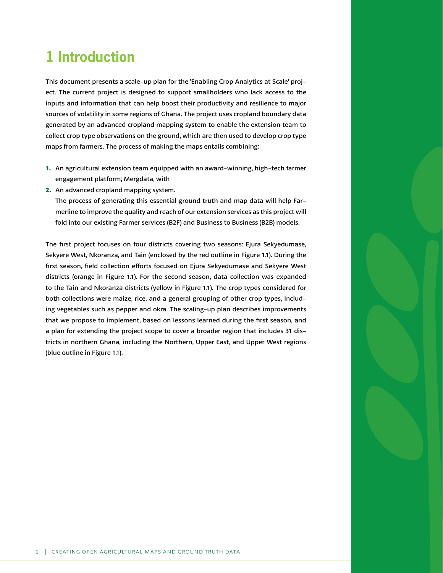# <span id="page-3-0"></span>**1 Introduction**

This document presents a scale-up plan for the 'Enabling Crop Analytics at Scale' project. The current project is designed to support smallholders who lack access to the inputs and information that can help boost their productivity and resilience to major sources of volatility in some regions of Ghana. The project uses cropland boundary data generated by an advanced cropland mapping system to enable the extension team to collect crop type observations on the ground, which are then used to develop crop type maps from farmers. The process of making the maps entails combining:

- **1.** An agricultural extension team equipped with an award-winning, high-tech farmer engagement platform; Mergdata, with
- **2.** An advanced cropland mapping system.

The process of generating this essential ground truth and map data will help Farmerline to improve the quality and reach of our extension services as this project will fold into our existing Farmer services (B2F) and Business to Business (B2B) models.

The first project focuses on four districts covering two seasons: Ejura Sekyedumase, Sekyere West, Nkoranza, and Tain (enclosed by the red outline in Figure 1.1). During the first season, field collection efforts focused on Ejura Sekyedumase and Sekyere West districts (orange in Figure 1.1). For the second season, data collection was expanded to the Tain and Nkoranza districts (yellow in Figure 1.1). The crop types considered for both collections were maize, rice, and a general grouping of other crop types, including vegetables such as pepper and okra. The scaling-up plan describes improvements that we propose to implement, based on lessons learned during the first season, and a plan for extending the project scope to cover a broader region that includes 31 districts in northern Ghana, including the Northern, Upper East, and Upper West regions (blue outline in Figure 1.1).

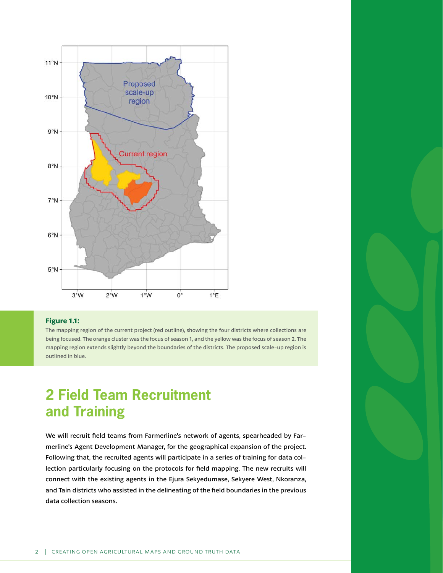<span id="page-4-0"></span>

#### **Figure 1.1:**

The mapping region of the current project (red outline), showing the four districts where collections are being focused. The orange cluster was the focus of season 1, and the yellow was the focus of season 2. The mapping region extends slightly beyond the boundaries of the districts. The proposed scale-up region is outlined in blue.

## **2 Field Team Recruitment and Training**

We will recruit field teams from Farmerline's network of agents, spearheaded by Farmerline's Agent Development Manager, for the geographical expansion of the project. Following that, the recruited agents will participate in a series of training for data collection particularly focusing on the protocols for field mapping. The new recruits will connect with the existing agents in the Ejura Sekyedumase, Sekyere West, Nkoranza, and Tain districts who assisted in the delineating of the field boundaries in the previous data collection seasons.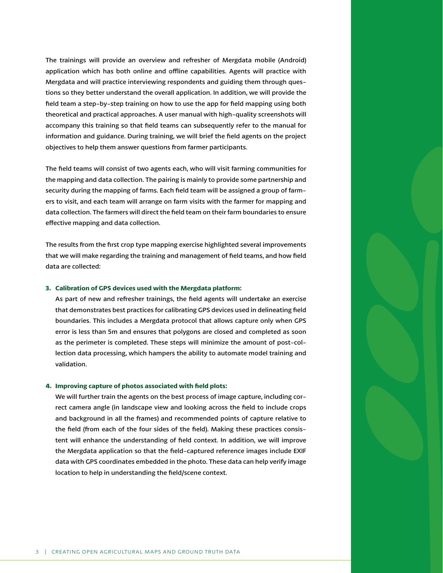The trainings will provide an overview and refresher of Mergdata mobile (Android) application which has both online and offline capabilities. Agents will practice with Mergdata and will practice interviewing respondents and guiding them through questions so they better understand the overall application. In addition, we will provide the field team a step-by-step training on how to use the app for field mapping using both theoretical and practical approaches. A user manual with high-quality screenshots will accompany this training so that field teams can subsequently refer to the manual for information and guidance. During training, we will brief the field agents on the project objectives to help them answer questions from farmer participants.

The field teams will consist of two agents each, who will visit farming communities for the mapping and data collection. The pairing is mainly to provide some partnership and security during the mapping of farms. Each field team will be assigned a group of farmers to visit, and each team will arrange on farm visits with the farmer for mapping and data collection. The farmers will direct the field team on their farm boundaries to ensure effective mapping and data collection.

The results from the first crop type mapping exercise highlighted several improvements that we will make regarding the training and management of field teams, and how field data are collected:

### **3. Calibration of GPS devices used with the Mergdata platform:**

As part of new and refresher trainings, the field agents will undertake an exercise that demonstrates best practices for calibrating GPS devices used in delineating field boundaries. This includes a Mergdata protocol that allows capture only when GPS error is less than 5m and ensures that polygons are closed and completed as soon as the perimeter is completed. These steps will minimize the amount of post-collection data processing, which hampers the ability to automate model training and validation.

### **4. Improving capture of photos associated with field plots:**

We will further train the agents on the best process of image capture, including correct camera angle (in landscape view and looking across the field to include crops and background in all the frames) and recommended points of capture relative to the field (from each of the four sides of the field). Making these practices consistent will enhance the understanding of field context. In addition, we will improve the Mergdata application so that the field-captured reference images include EXIF data with GPS coordinates embedded in the photo. These data can help verify image location to help in understanding the field/scene context.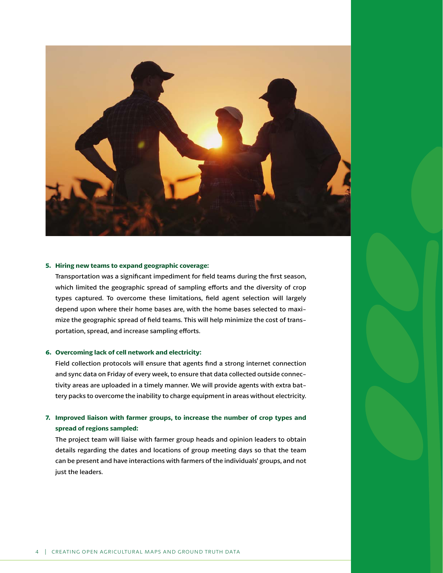

#### **5. Hiring new teams to expand geographic coverage:**

Transportation was a significant impediment for field teams during the first season, which limited the geographic spread of sampling efforts and the diversity of crop types captured. To overcome these limitations, field agent selection will largely depend upon where their home bases are, with the home bases selected to maximize the geographic spread of field teams. This will help minimize the cost of transportation, spread, and increase sampling efforts.

#### **6. Overcoming lack of cell network and electricity:**

Field collection protocols will ensure that agents find a strong internet connection and sync data on Friday of every week, to ensure that data collected outside connectivity areas are uploaded in a timely manner. We will provide agents with extra battery packs to overcome the inability to charge equipment in areas without electricity.

### **7. Improved liaison with farmer groups, to increase the number of crop types and spread of regions sampled:**

The project team will liaise with farmer group heads and opinion leaders to obtain details regarding the dates and locations of group meeting days so that the team can be present and have interactions with farmers of the individuals' groups, and not just the leaders.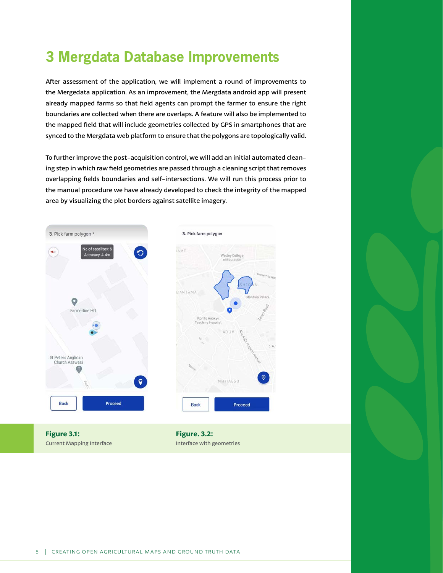# <span id="page-7-0"></span>**3 Mergdata Database Improvements**

After assessment of the application, we will implement a round of improvements to the Mergedata application. As an improvement, the Mergdata android app will present already mapped farms so that field agents can prompt the farmer to ensure the right boundaries are collected when there are overlaps. A feature will also be implemented to the mapped field that will include geometries collected by GPS in smartphones that are synced to the Mergdata web platform to ensure that the polygons are topologically valid.

To further improve the post-acquisition control, we will add an initial automated cleaning step in which raw field geometries are passed through a cleaning script that removes overlapping fields boundaries and self-intersections. We will run this process prior to the manual procedure we have already developed to check the integrity of the mapped area by visualizing the plot borders against satellite imagery.



**Figure 3.1:**  Current Mapping Interface

**Figure. 3.2:** Interface with geometries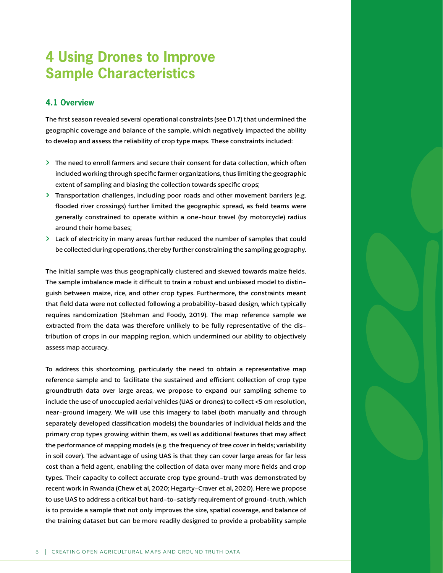## <span id="page-8-0"></span>**4 Using Drones to Improve Sample Characteristics**

## **4.1 Overview**

The first season revealed several operational constraints (see D1.7) that undermined the geographic coverage and balance of the sample, which negatively impacted the ability to develop and assess the reliability of crop type maps. These constraints included:

- $\geq$  The need to enroll farmers and secure their consent for data collection, which often included working through specific farmer organizations, thus limiting the geographic extent of sampling and biasing the collection towards specific crops;
- $\geq$  Transportation challenges, including poor roads and other movement barriers (e.g. flooded river crossings) further limited the geographic spread, as field teams were generally constrained to operate within a one-hour travel (by motorcycle) radius around their home bases;
- $\geq$  Lack of electricity in many areas further reduced the number of samples that could be collected during operations, thereby further constraining the sampling geography.

The initial sample was thus geographically clustered and skewed towards maize fields. The sample imbalance made it difficult to train a robust and unbiased model to distinguish between maize, rice, and other crop types. Furthermore, the constraints meant that field data were not collected following a probability-based design, which typically requires randomization (Stehman and Foody, 2019). The map reference sample we extracted from the data was therefore unlikely to be fully representative of the distribution of crops in our mapping region, which undermined our ability to objectively assess map accuracy.

To address this shortcoming, particularly the need to obtain a representative map reference sample and to facilitate the sustained and efficient collection of crop type groundtruth data over large areas, we propose to expand our sampling scheme to include the use of unoccupied aerial vehicles (UAS or drones) to collect <5 cm resolution, near-ground imagery. We will use this imagery to label (both manually and through separately developed classification models) the boundaries of individual fields and the primary crop types growing within them, as well as additional features that may affect the performance of mapping models (e.g. the frequency of tree cover in fields; variability in soil cover). The advantage of using UAS is that they can cover large areas for far less cost than a field agent, enabling the collection of data over many more fields and crop types. Their capacity to collect accurate crop type ground-truth was demonstrated by recent work in Rwanda (Chew et al, 2020; Hegarty-Craver et al, 2020). Here we propose to use UAS to address a critical but hard-to-satisfy requirement of ground-truth, which is to provide a sample that not only improves the size, spatial coverage, and balance of the training dataset but can be more readily designed to provide a probability sample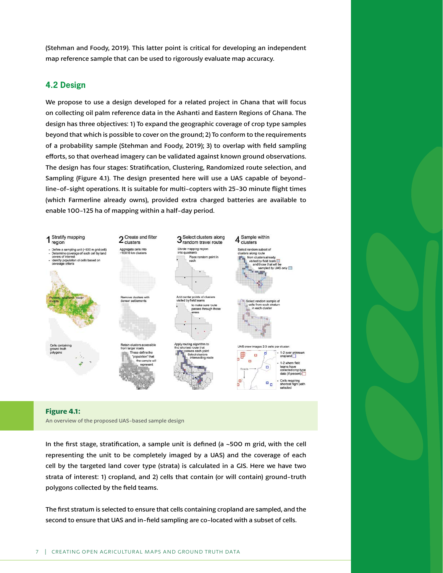<span id="page-9-0"></span>(Stehman and Foody, 2019). This latter point is critical for developing an independent map reference sample that can be used to rigorously evaluate map accuracy.

## **4.2 Design**

We propose to use a design developed for a related project in Ghana that will focus on collecting oil palm reference data in the Ashanti and Eastern Regions of Ghana. The design has three objectives: 1) To expand the geographic coverage of crop type samples beyond that which is possible to cover on the ground; 2) To conform to the requirements of a probability sample (Stehman and Foody, 2019); 3) to overlap with field sampling efforts, so that overhead imagery can be validated against known ground observations. The design has four stages: Stratification, Clustering, Randomized route selection, and Sampling (Figure 4.1). The design presented here will use a UAS capable of beyondline-of-sight operations. It is suitable for multi-copters with 25-30 minute flight times (which Farmerline already owns), provided extra charged batteries are available to enable 100-125 ha of mapping within a half-day period.



#### **Figure 4.1:**

An overview of the proposed UAS-based sample design

In the first stage, stratification, a sample unit is defined (a ~500 m grid, with the cell representing the unit to be completely imaged by a UAS) and the coverage of each cell by the targeted land cover type (strata) is calculated in a GIS. Here we have two strata of interest: 1) cropland, and 2) cells that contain (or will contain) ground-truth polygons collected by the field teams.

The first stratum is selected to ensure that cells containing cropland are sampled, and the second to ensure that UAS and in-field sampling are co-located with a subset of cells.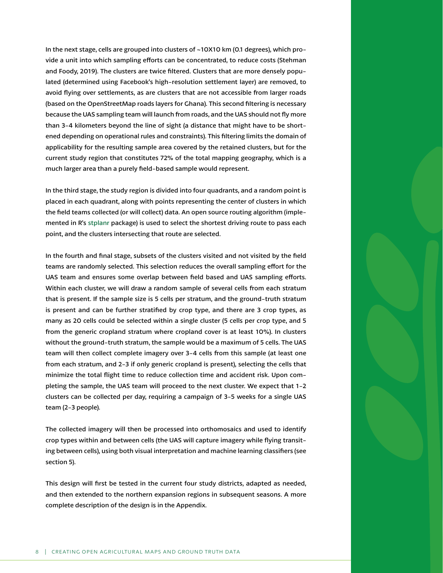In the next stage, cells are grouped into clusters of ~10X10 km (0.1 degrees), which provide a unit into which sampling efforts can be concentrated, to reduce costs (Stehman and Foody, 2019). The clusters are twice filtered. Clusters that are more densely populated (determined using Facebook's high-resolution settlement layer) are removed, to avoid flying over settlements, as are clusters that are not accessible from larger roads (based on the OpenStreetMap roads layers for Ghana). This second filtering is necessary because the UAS sampling team will launch from roads, and the UAS should not fly more than 3-4 kilometers beyond the line of sight (a distance that might have to be shortened depending on operational rules and constraints). This filtering limits the domain of applicability for the resulting sample area covered by the retained clusters, but for the current study region that constitutes 72% of the total mapping geography, which is a much larger area than a purely field-based sample would represent.

In the third stage, the study region is divided into four quadrants, and a random point is placed in each quadrant, along with points representing the center of clusters in which the field teams collected (or will collect) data. An open source routing algorithm (implemented in R's [stplanr](https://docs.ropensci.org/stplanr/articles/stplanr.html) package) is used to select the shortest driving route to pass each point, and the clusters intersecting that route are selected.

In the fourth and final stage, subsets of the clusters visited and not visited by the field teams are randomly selected. This selection reduces the overall sampling effort for the UAS team and ensures some overlap between field based and UAS sampling efforts. Within each cluster, we will draw a random sample of several cells from each stratum that is present. If the sample size is 5 cells per stratum, and the ground-truth stratum is present and can be further stratified by crop type, and there are 3 crop types, as many as 20 cells could be selected within a single cluster (5 cells per crop type, and 5 from the generic cropland stratum where cropland cover is at least 10%). In clusters without the ground-truth stratum, the sample would be a maximum of 5 cells. The UAS team will then collect complete imagery over 3-4 cells from this sample (at least one from each stratum, and 2-3 if only generic cropland is present), selecting the cells that minimize the total flight time to reduce collection time and accident risk. Upon completing the sample, the UAS team will proceed to the next cluster. We expect that 1-2 clusters can be collected per day, requiring a campaign of 3-5 weeks for a single UAS team (2-3 people).

The collected imagery will then be processed into orthomosaics and used to identify crop types within and between cells (the UAS will capture imagery while flying transiting between cells), using both visual interpretation and machine learning classifiers (see section 5).

This design will first be tested in the current four study districts, adapted as needed, and then extended to the northern expansion regions in subsequent seasons. A more complete description of the design is in the Appendix.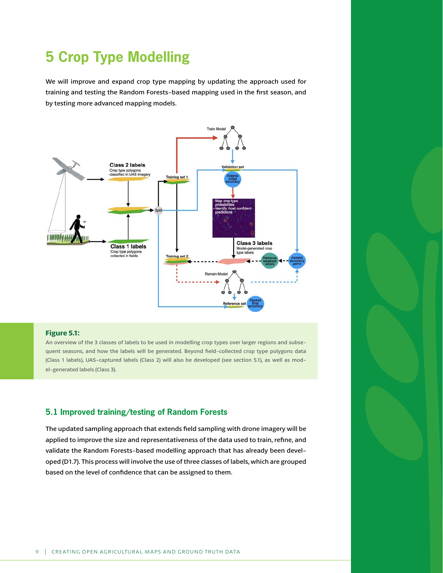# <span id="page-11-0"></span>**5 Crop Type Modelling**

We will improve and expand crop type mapping by updating the approach used for training and testing the Random Forests-based mapping used in the first season, and by testing more advanced mapping models.



### **Figure 5.1:**

An overview of the 3 classes of labels to be used in modelling crop types over larger regions and subsequent seasons, and how the labels will be generated. Beyond field-collected crop type polygons data (Class 1 labels), UAS-captured labels (Class 2) will also be developed (see section 5.1), as well as model-generated labels (Class 3).

### **5.1 Improved training/testing of Random Forests**

The updated sampling approach that extends field sampling with drone imagery will be applied to improve the size and representativeness of the data used to train, refine, and validate the Random Forests-based modelling approach that has already been developed (D1.7). This process will involve the use of three classes of labels, which are grouped based on the level of confidence that can be assigned to them.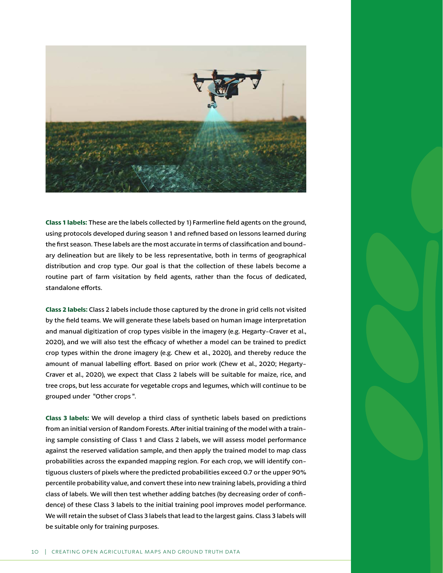

**Class 1 labels:** These are the labels collected by 1) Farmerline field agents on the ground, using protocols developed during season 1 and refined based on lessons learned during the first season. These labels are the most accurate in terms of classification and boundary delineation but are likely to be less representative, both in terms of geographical distribution and crop type. Our goal is that the collection of these labels become a routine part of farm visitation by field agents, rather than the focus of dedicated, standalone efforts.

**Class 2 labels:** Class 2 labels include those captured by the drone in grid cells not visited by the field teams. We will generate these labels based on human image interpretation and manual digitization of crop types visible in the imagery (e.g. Hegarty-Craver et al., 2020), and we will also test the efficacy of whether a model can be trained to predict crop types within the drone imagery (e.g. Chew et al., 2020), and thereby reduce the amount of manual labelling effort. Based on prior work (Chew et al., 2020; Hegarty-Craver et al., 2020), we expect that Class 2 labels will be suitable for maize, rice, and tree crops, but less accurate for vegetable crops and legumes, which will continue to be grouped under "Other crops ".

**Class 3 labels:** We will develop a third class of synthetic labels based on predictions from an initial version of Random Forests. After initial training of the model with a training sample consisting of Class 1 and Class 2 labels, we will assess model performance against the reserved validation sample, and then apply the trained model to map class probabilities across the expanded mapping region. For each crop, we will identify contiguous clusters of pixels where the predicted probabilities exceed 0.7 or the upper 90% percentile probability value, and convert these into new training labels, providing a third class of labels. We will then test whether adding batches (by decreasing order of confidence) of these Class 3 labels to the initial training pool improves model performance. We will retain the subset of Class 3 labels that lead to the largest gains. Class 3 labels will be suitable only for training purposes.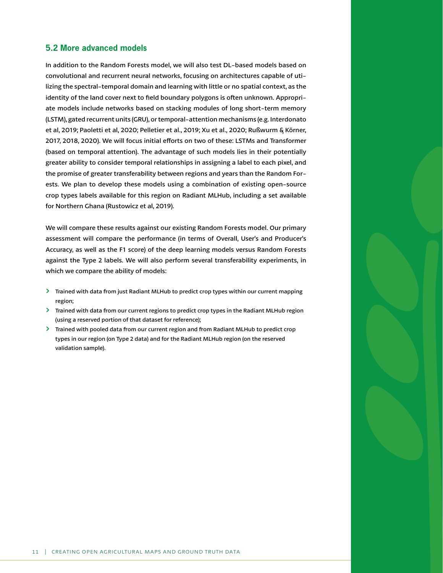## <span id="page-13-0"></span>**5.2 More advanced models**

In addition to the Random Forests model, we will also test DL-based models based on convolutional and recurrent neural networks, focusing on architectures capable of utilizing the spectral-temporal domain and learning with little or no spatial context, as the identity of the land cover next to field boundary polygons is often unknown. Appropriate models include networks based on stacking modules of long short-term memory (LSTM), gated recurrent units (GRU), or temporal-attention mechanisms (e.g. Interdonato et al, 2019; Paoletti et al, 2020; Pelletier et al., 2019; Xu et al., 2020; Rußwurm & Körner, 2017, 2018, 2020). We will focus initial efforts on two of these: LSTMs and Transformer (based on temporal attention). The advantage of such models lies in their potentially greater ability to consider temporal relationships in assigning a label to each pixel, and the promise of greater transferability between regions and years than the Random Forests. We plan to develop these models using a combination of existing open-source crop types labels available for this region on Radiant MLHub, including a set available for Northern Ghana (Rustowicz et al, 2019).

We will compare these results against our existing Random Forests model. Our primary assessment will compare the performance (in terms of Overall, User's and Producer's Accuracy, as well as the F1 score) of the deep learning models versus Random Forests against the Type 2 labels. We will also perform several transferability experiments, in which we compare the ability of models:

- $\geq$  Trained with data from just Radiant MLHub to predict crop types within our current mapping region;
- **Trained with data from our current regions to predict crop types in the Radiant MLHub region** (using a reserved portion of that dataset for reference);
- > Trained with pooled data from our current region and from Radiant MLHub to predict crop types in our region (on Type 2 data) and for the Radiant MLHub region (on the reserved validation sample).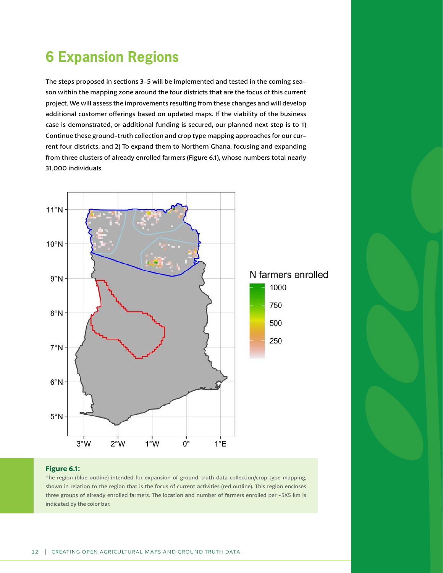# <span id="page-14-0"></span>**6 Expansion Regions**

The steps proposed in sections 3-5 will be implemented and tested in the coming season within the mapping zone around the four districts that are the focus of this current project. We will assess the improvements resulting from these changes and will develop additional customer offerings based on updated maps. If the viability of the business case is demonstrated, or additional funding is secured, our planned next step is to 1) Continue these ground-truth collection and crop type mapping approaches for our current four districts, and 2) To expand them to Northern Ghana, focusing and expanding from three clusters of already enrolled farmers (Figure 6.1), whose numbers total nearly 31,000 individuals.



### **Figure 6.1:**

The region (blue outline) intended for expansion of ground-truth data collection/crop type mapping, shown in relation to the region that is the focus of current activities (red outline). This region encloses three groups of already enrolled farmers. The location and number of farmers enrolled per ~5X5 km is indicated by the color bar.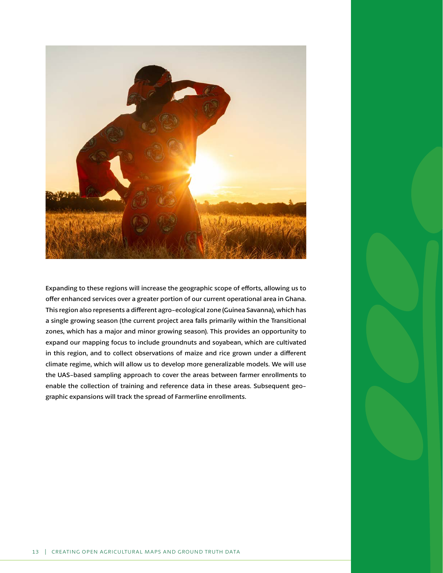

Expanding to these regions will increase the geographic scope of efforts, allowing us to offer enhanced services over a greater portion of our current operational area in Ghana. This region also represents a different agro-ecological zone (Guinea Savanna), which has a single growing season (the current project area falls primarily within the Transitional zones, which has a major and minor growing season). This provides an opportunity to expand our mapping focus to include groundnuts and soyabean, which are cultivated in this region, and to collect observations of maize and rice grown under a different climate regime, which will allow us to develop more generalizable models. We will use the UAS-based sampling approach to cover the areas between farmer enrollments to enable the collection of training and reference data in these areas. Subsequent geographic expansions will track the spread of Farmerline enrollments.

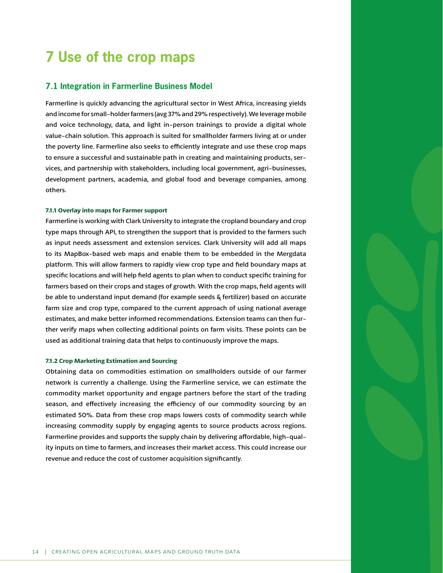# <span id="page-16-0"></span>**7 Use of the crop maps**

### **7.1 Integration in Farmerline Business Model**

Farmerline is quickly advancing the agricultural sector in West Africa, increasing yields and income for small-holder farmers (avg 37% and 29% respectively). We leverage mobile and voice technology, data, and light in-person trainings to provide a digital whole value-chain solution. This approach is suited for smallholder farmers living at or under the poverty line. Farmerline also seeks to efficiently integrate and use these crop maps to ensure a successful and sustainable path in creating and maintaining products, services, and partnership with stakeholders, including local government, agri-businesses, development partners, academia, and global food and beverage companies, among others.

### **7.1.1 Overlay into maps for Farmer support**

Farmerline is working with Clark University to integrate the cropland boundary and crop type maps through API, to strengthen the support that is provided to the farmers such as input needs assessment and extension services. Clark University will add all maps to its MapBox-based web maps and enable them to be embedded in the Mergdata platform. This will allow farmers to rapidly view crop type and field boundary maps at specific locations and will help field agents to plan when to conduct specific training for farmers based on their crops and stages of growth. With the crop maps, field agents will be able to understand input demand (for example seeds & fertilizer) based on accurate farm size and crop type, compared to the current approach of using national average estimates, and make better informed recommendations. Extension teams can then further verify maps when collecting additional points on farm visits. These points can be used as additional training data that helps to continuously improve the maps.

#### **7.1.2 Crop Marketing Estimation and Sourcing**

Obtaining data on commodities estimation on smallholders outside of our farmer network is currently a challenge. Using the Farmerline service, we can estimate the commodity market opportunity and engage partners before the start of the trading season, and effectively increasing the efficiency of our commodity sourcing by an estimated 50%. Data from these crop maps lowers costs of commodity search while increasing commodity supply by engaging agents to source products across regions. Farmerline provides and supports the supply chain by delivering affordable, high-quality inputs on time to farmers, and increases their market access. This could increase our revenue and reduce the cost of customer acquisition significantly.

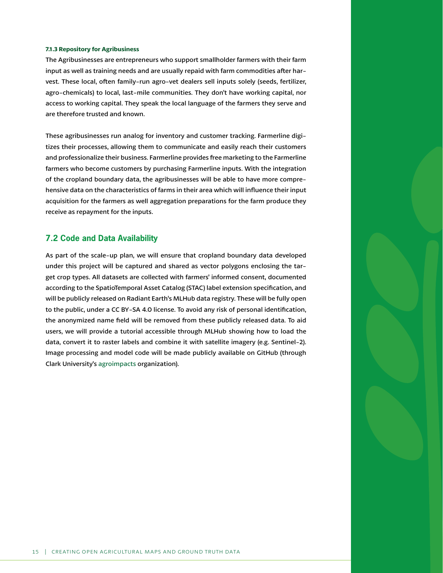#### <span id="page-17-0"></span>**7.1.3 Repository for Agribusiness**

The Agribusinesses are entrepreneurs who support smallholder farmers with their farm input as well as training needs and are usually repaid with farm commodities after harvest. These local, often family-run agro-vet dealers sell inputs solely (seeds, fertilizer, agro-chemicals) to local, last-mile communities. They don't have working capital, nor access to working capital. They speak the local language of the farmers they serve and are therefore trusted and known.

These agribusinesses run analog for inventory and customer tracking. Farmerline digitizes their processes, allowing them to communicate and easily reach their customers and professionalize their business. Farmerline provides free marketing to the Farmerline farmers who become customers by purchasing Farmerline inputs. With the integration of the cropland boundary data, the agribusinesses will be able to have more comprehensive data on the characteristics of farms in their area which will influence their input acquisition for the farmers as well aggregation preparations for the farm produce they receive as repayment for the inputs.

## **7.2 Code and Data Availability**

As part of the scale-up plan, we will ensure that cropland boundary data developed under this project will be captured and shared as vector polygons enclosing the target crop types. All datasets are collected with farmers' informed consent, documented according to the SpatioTemporal Asset Catalog (STAC) label extension specification, and will be publicly released on Radiant Earth's MLHub data registry. These will be fully open to the public, under a CC BY-SA 4.0 license. To avoid any risk of personal identification, the anonymized name field will be removed from these publicly released data. To aid users, we will provide a tutorial accessible through MLHub showing how to load the data, convert it to raster labels and combine it with satellite imagery (e.g. Sentinel-2). Image processing and model code will be made publicly available on GitHub (through Clark University's [agroimpacts](https://github.com/agroimpacts) organization).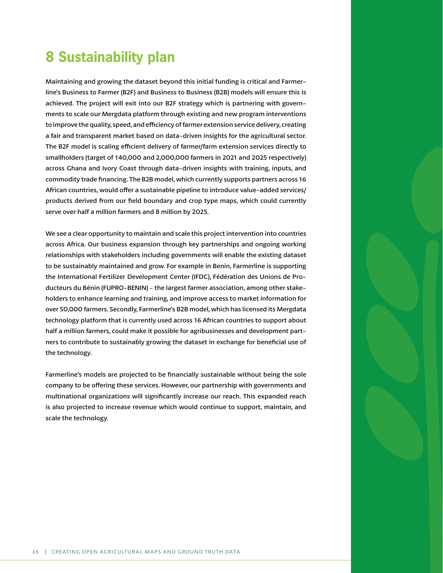# <span id="page-18-0"></span>**8 Sustainability plan**

Maintaining and growing the dataset beyond this initial funding is critical and Farmerline's Business to Farmer (B2F) and Business to Business (B2B) models will ensure this is achieved. The project will exit into our B2F strategy which is partnering with governments to scale our Mergdata platform through existing and new program interventions to improve the quality, speed, and efficiency of farmer extension service delivery, creating a fair and transparent market based on data-driven insights for the agricultural sector. The B2F model is scaling efficient delivery of farmer/farm extension services directly to smallholders (target of 140,000 and 2,000,000 farmers in 2021 and 2025 respectively) across Ghana and Ivory Coast through data-driven insights with training, inputs, and commodity trade financing. The B2B model, which currently supports partners across 16 African countries, would offer a sustainable pipeline to introduce value-added services/ products derived from our field boundary and crop type maps, which could currently serve over half a million farmers and 8 million by 2025.

We see a clear opportunity to maintain and scale this project intervention into countries across Africa. Our business expansion through key partnerships and ongoing working relationships with stakeholders including governments will enable the existing dataset to be sustainably maintained and grow. For example in Benin, Farmerline is supporting the International Fertilizer Development Center (IFDC), Fédération des Unions de Producteurs du Bénin (FUPRO-BENIN) - the largest farmer association, among other stakeholders to enhance learning and training, and improve access to market information for over 50,000 farmers. Secondly, Farmerline's B2B model, which has licensed its Mergdata technology platform that is currently used across 16 African countries to support about half a million farmers, could make it possible for agribusinesses and development partners to contribute to sustainably growing the dataset in exchange for beneficial use of the technology.

Farmerline's models are projected to be financially sustainable without being the sole company to be offering these services. However, our partnership with governments and multinational organizations will significantly increase our reach. This expanded reach is also projected to increase revenue which would continue to support, maintain, and scale the technology.

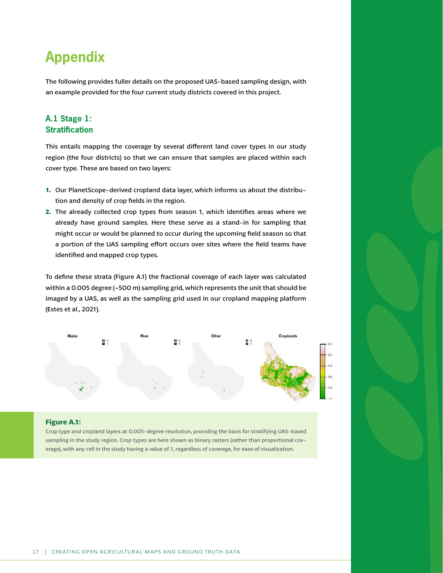# <span id="page-19-0"></span>**Appendix**

The following provides fuller details on the proposed UAS-based sampling design, with an example provided for the four current study districts covered in this project.

## **A.1 Stage 1: Stratification**

This entails mapping the coverage by several different land cover types in our study region (the four districts) so that we can ensure that samples are placed within each cover type. These are based on two layers:

- **1.** Our PlanetScope-derived cropland data layer, which informs us about the distribution and density of crop fields in the region.
- **2.** The already collected crop types from season 1, which identifies areas where we already have ground samples. Here these serve as a stand-in for sampling that might occur or would be planned to occur during the upcoming field season so that a portion of the UAS sampling effort occurs over sites where the field teams have identified and mapped crop types.

To define these strata (Figure A.1) the fractional coverage of each layer was calculated within a 0.005 degree (~500 m) sampling grid, which represents the unit that should be imaged by a UAS, as well as the sampling grid used in our cropland mapping platform (Estes et al., 2021).



### **Figure A.1:**

Crop type and cropland layers at 0.005-degree resolution, providing the basis for stratifying UAS-based sampling in the study region. Crop types are here shown as binary rasters (rather than proportional coverage), with any cell in the study having a value of 1, regardless of coverage, for ease of visualization.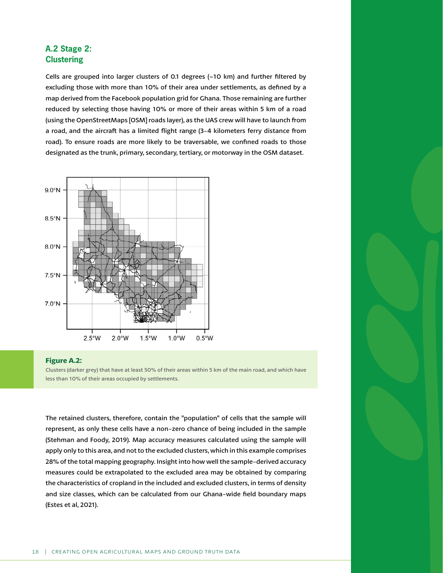## <span id="page-20-0"></span>**A.2 Stage 2: Clustering**

Cells are grouped into larger clusters of 0.1 degrees (~10 km) and further filtered by excluding those with more than 10% of their area under settlements, as defined by a map derived from the Facebook population grid for Ghana. Those remaining are further reduced by selecting those having 10% or more of their areas within 5 km of a road (using the OpenStreetMaps [OSM] roads layer), as the UAS crew will have to launch from a road, and the aircraft has a limited flight range (3-4 kilometers ferry distance from road). To ensure roads are more likely to be traversable, we confined roads to those designated as the trunk, primary, secondary, tertiary, or motorway in the OSM dataset.



### **Figure A.2:**

Clusters (darker grey) that have at least 50% of their areas within 5 km of the main road, and which have less than 10% of their areas occupied by settlements.

The retained clusters, therefore, contain the "population" of cells that the sample will represent, as only these cells have a non-zero chance of being included in the sample (Stehman and Foody, 2019). Map accuracy measures calculated using the sample will apply only to this area, and not to the excluded clusters, which in this example comprises 28% of the total mapping geography. Insight into how well the sample-derived accuracy measures could be extrapolated to the excluded area may be obtained by comparing the characteristics of cropland in the included and excluded clusters, in terms of density and size classes, which can be calculated from our Ghana-wide field boundary maps (Estes et al, 2021).

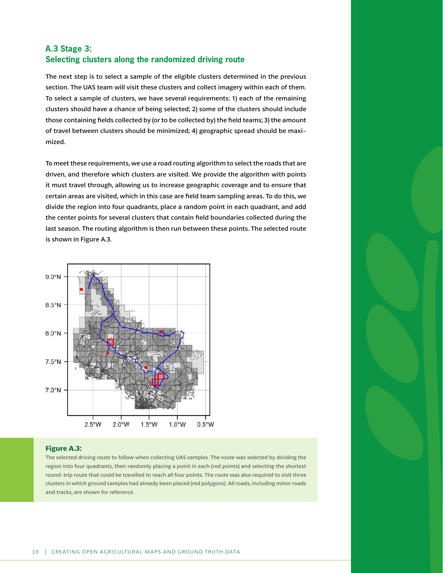## <span id="page-21-0"></span>**A.3 Stage 3: Selecting clusters along the randomized driving route**

The next step is to select a sample of the eligible clusters determined in the previous section. The UAS team will visit these clusters and collect imagery within each of them. To select a sample of clusters, we have several requirements: 1) each of the remaining clusters should have a chance of being selected; 2) some of the clusters should include those containing fields collected by (or to be collected by) the field teams; 3) the amount of travel between clusters should be minimized; 4) geographic spread should be maximized.

To meet these requirements, we use a road routing algorithm to select the roads that are driven, and therefore which clusters are visited. We provide the algorithm with points it must travel through, allowing us to increase geographic coverage and to ensure that certain areas are visited, which in this case are field team sampling areas. To do this, we divide the region into four quadrants, place a random point in each quadrant, and add the center points for several clusters that contain field boundaries collected during the last season. The routing algorithm is then run between these points. The selected route is shown in Figure A.3.



### **Figure A.3:**

The selected driving route to follow when collecting UAS samples. The route was selected by dividing the region into four quadrants, then randomly placing a point in each (red points) and selecting the shortest round-trip route that could be travelled to reach all four points. The route was also required to visit three clusters in which ground samples had already been placed (red polygons). All roads, including minor roads and tracks, are shown for reference.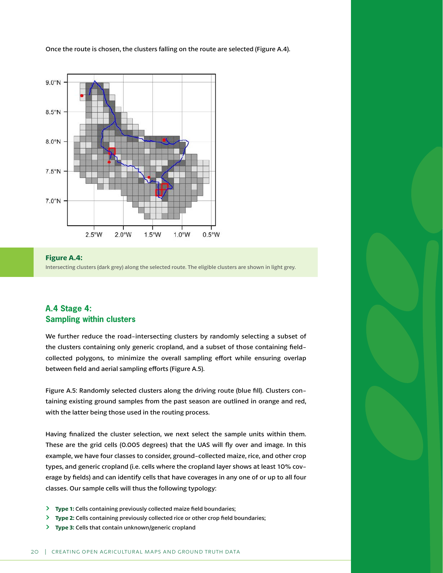<span id="page-22-0"></span>Once the route is chosen, the clusters falling on the route are selected (Figure A.4).





## **A.4 Stage 4: Sampling within clusters**

We further reduce the road-intersecting clusters by randomly selecting a subset of the clusters containing only generic cropland, and a subset of those containing fieldcollected polygons, to minimize the overall sampling effort while ensuring overlap between field and aerial sampling efforts (Figure A.5).

Figure A.5: Randomly selected clusters along the driving route (blue fill). Clusters containing existing ground samples from the past season are outlined in orange and red, with the latter being those used in the routing process.

Having finalized the cluster selection, we next select the sample units within them. These are the grid cells (0.005 degrees) that the UAS will fly over and image. In this example, we have four classes to consider, ground-collected maize, rice, and other crop types, and generic cropland (i.e. cells where the cropland layer shows at least 10% coverage by fields) and can identify cells that have coverages in any one of or up to all four classes. Our sample cells will thus the following typology:

- **Type 1: Cells containing previously collected maize field boundaries;**
- **Type 2:** Cells containing previously collected rice or other crop field boundaries;
- **Type 3: Cells that contain unknown/generic cropland**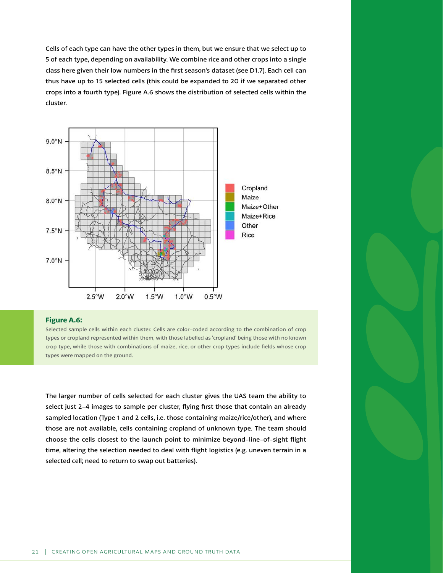Cells of each type can have the other types in them, but we ensure that we select up to 5 of each type, depending on availability. We combine rice and other crops into a single class here given their low numbers in the first season's dataset (see D1.7). Each cell can thus have up to 15 selected cells (this could be expanded to 20 if we separated other crops into a fourth type). Figure A.6 shows the distribution of selected cells within the cluster.



#### **Figure A.6:**

Selected sample cells within each cluster. Cells are color-coded according to the combination of crop types or cropland represented within them, with those labelled as 'cropland' being those with no known crop type, while those with combinations of maize, rice, or other crop types include fields whose crop types were mapped on the ground.

The larger number of cells selected for each cluster gives the UAS team the ability to select just 2-4 images to sample per cluster, flying first those that contain an already sampled location (Type 1 and 2 cells, i.e. those containing maize/rice/other), and where those are not available, cells containing cropland of unknown type. The team should choose the cells closest to the launch point to minimize beyond-line-of-sight flight time, altering the selection needed to deal with flight logistics (e.g. uneven terrain in a selected cell; need to return to swap out batteries).

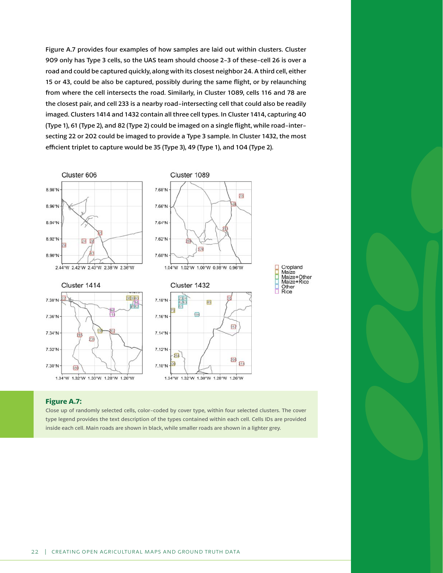Figure A.7 provides four examples of how samples are laid out within clusters. Cluster 909 only has Type 3 cells, so the UAS team should choose 2-3 of these-cell 26 is over a road and could be captured quickly, along with its closest neighbor 24. A third cell, either 15 or 43, could be also be captured, possibly during the same flight, or by relaunching from where the cell intersects the road. Similarly, in Cluster 1089, cells 116 and 78 are the closest pair, and cell 233 is a nearby road-intersecting cell that could also be readily imaged. Clusters 1414 and 1432 contain all three cell types. In Cluster 1414, capturing 40 (Type 1), 61 (Type 2), and 82 (Type 2) could be imaged on a single flight, while road-intersecting 22 or 202 could be imaged to provide a Type 3 sample. In Cluster 1432, the most efficient triplet to capture would be 35 (Type 3), 49 (Type 1), and 104 (Type 2).



### **Figure A.7:**

Close up of randomly selected cells, color-coded by cover type, within four selected clusters. The cover type legend provides the text description of the types contained within each cell. Cells IDs are provided inside each cell. Main roads are shown in black, while smaller roads are shown in a lighter grey.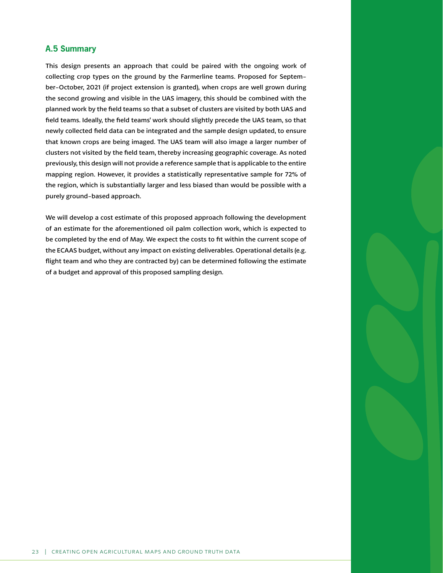## <span id="page-25-0"></span>**A.5 Summary**

This design presents an approach that could be paired with the ongoing work of collecting crop types on the ground by the Farmerline teams. Proposed for September-October, 2021 (if project extension is granted), when crops are well grown during the second growing and visible in the UAS imagery, this should be combined with the planned work by the field teams so that a subset of clusters are visited by both UAS and field teams. Ideally, the field teams' work should slightly precede the UAS team, so that newly collected field data can be integrated and the sample design updated, to ensure that known crops are being imaged. The UAS team will also image a larger number of clusters not visited by the field team, thereby increasing geographic coverage. As noted previously, this design will not provide a reference sample that is applicable to the entire mapping region. However, it provides a statistically representative sample for 72% of the region, which is substantially larger and less biased than would be possible with a purely ground-based approach.

We will develop a cost estimate of this proposed approach following the development of an estimate for the aforementioned oil palm collection work, which is expected to be completed by the end of May. We expect the costs to fit within the current scope of the ECAAS budget, without any impact on existing deliverables. Operational details (e.g. flight team and who they are contracted by) can be determined following the estimate of a budget and approval of this proposed sampling design.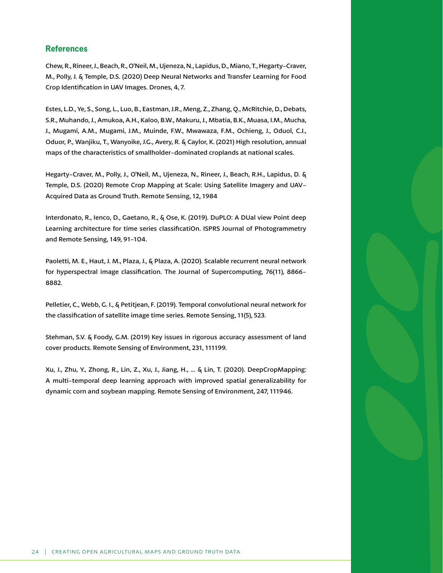## <span id="page-26-0"></span>**References**

Chew, R., Rineer, J., Beach, R., O'Neil, M., Ujeneza, N., Lapidus, D., Miano, T., Hegarty-Craver, M., Polly, J. & Temple, D.S. (2020) Deep Neural Networks and Transfer Learning for Food Crop Identification in UAV Images. Drones, 4, 7.

Estes, L.D., Ye, S., Song, L., Luo, B., Eastman, J.R., Meng, Z., Zhang, Q., McRitchie, D., Debats, S.R., Muhando, J., Amukoa, A.H., Kaloo, B.W., Makuru, J., Mbatia, B.K., Muasa, I.M., Mucha, J., Mugami, A.M., Mugami, J.M., Muinde, F.W., Mwawaza, F.M., Ochieng, J., Oduol, C.J., Oduor, P., Wanjiku, T., Wanyoike, J.G., Avery, R. & Caylor, K. (2021) High resolution, annual maps of the characteristics of smallholder-dominated croplands at national scales.

Hegarty-Craver, M., Polly, J., O'Neil, M., Ujeneza, N., Rineer, J., Beach, R.H., Lapidus, D. & Temple, D.S. (2020) Remote Crop Mapping at Scale: Using Satellite Imagery and UAV-Acquired Data as Ground Truth. Remote Sensing, 12, 1984

Interdonato, R., Ienco, D., Gaetano, R., & Ose, K. (2019). DuPLO: A DUal view Point deep Learning architecture for time series classificatiOn. ISPRS Journal of Photogrammetry and Remote Sensing, 149, 91-104.

Paoletti, M. E., Haut, J. M., Plaza, J., & Plaza, A. (2020). Scalable recurrent neural network for hyperspectral image classification. The Journal of Supercomputing, 76(11), 8866- 8882.

Pelletier, C., Webb, G. I., & Petitjean, F. (2019). Temporal convolutional neural network for the classification of satellite image time series. Remote Sensing, 11(5), 523.

Stehman, S.V. & Foody, G.M. (2019) Key issues in rigorous accuracy assessment of land cover products. Remote Sensing of Environment, 231, 111199.

Xu, J., Zhu, Y., Zhong, R., Lin, Z., Xu, J., Jiang, H., ... & Lin, T. (2020). DeepCropMapping: A multi-temporal deep learning approach with improved spatial generalizability for dynamic corn and soybean mapping. Remote Sensing of Environment, 247, 111946.